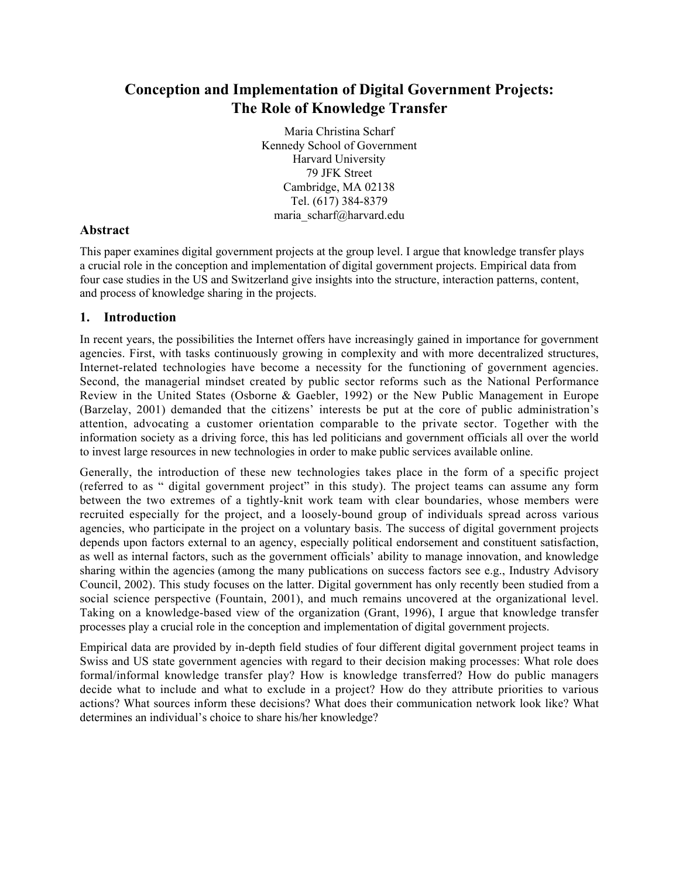# **Conception and Implementation of Digital Government Projects: The Role of Knowledge Transfer**

Maria Christina Scharf Kennedy School of Government Harvard University 79 JFK Street Cambridge, MA 02138 Tel. (617) 384-8379 maria\_scharf@harvard.edu

# **Abstract**

This paper examines digital government projects at the group level. I argue that knowledge transfer plays a crucial role in the conception and implementation of digital government projects. Empirical data from four case studies in the US and Switzerland give insights into the structure, interaction patterns, content, and process of knowledge sharing in the projects.

# **1. Introduction**

In recent years, the possibilities the Internet offers have increasingly gained in importance for government agencies. First, with tasks continuously growing in complexity and with more decentralized structures, Internet-related technologies have become a necessity for the functioning of government agencies. Second, the managerial mindset created by public sector reforms such as the National Performance Review in the United States (Osborne & Gaebler, 1992) or the New Public Management in Europe (Barzelay, 2001) demanded that the citizens' interests be put at the core of public administration's attention, advocating a customer orientation comparable to the private sector. Together with the information society as a driving force, this has led politicians and government officials all over the world to invest large resources in new technologies in order to make public services available online.

Generally, the introduction of these new technologies takes place in the form of a specific project (referred to as " digital government project" in this study). The project teams can assume any form between the two extremes of a tightly-knit work team with clear boundaries, whose members were recruited especially for the project, and a loosely-bound group of individuals spread across various agencies, who participate in the project on a voluntary basis. The success of digital government projects depends upon factors external to an agency, especially political endorsement and constituent satisfaction, as well as internal factors, such as the government officials' ability to manage innovation, and knowledge sharing within the agencies (among the many publications on success factors see e.g., Industry Advisory Council, 2002). This study focuses on the latter. Digital government has only recently been studied from a social science perspective (Fountain, 2001), and much remains uncovered at the organizational level. Taking on a knowledge-based view of the organization (Grant, 1996), I argue that knowledge transfer processes play a crucial role in the conception and implementation of digital government projects.

Empirical data are provided by in-depth field studies of four different digital government project teams in Swiss and US state government agencies with regard to their decision making processes: What role does formal/informal knowledge transfer play? How is knowledge transferred? How do public managers decide what to include and what to exclude in a project? How do they attribute priorities to various actions? What sources inform these decisions? What does their communication network look like? What determines an individual's choice to share his/her knowledge?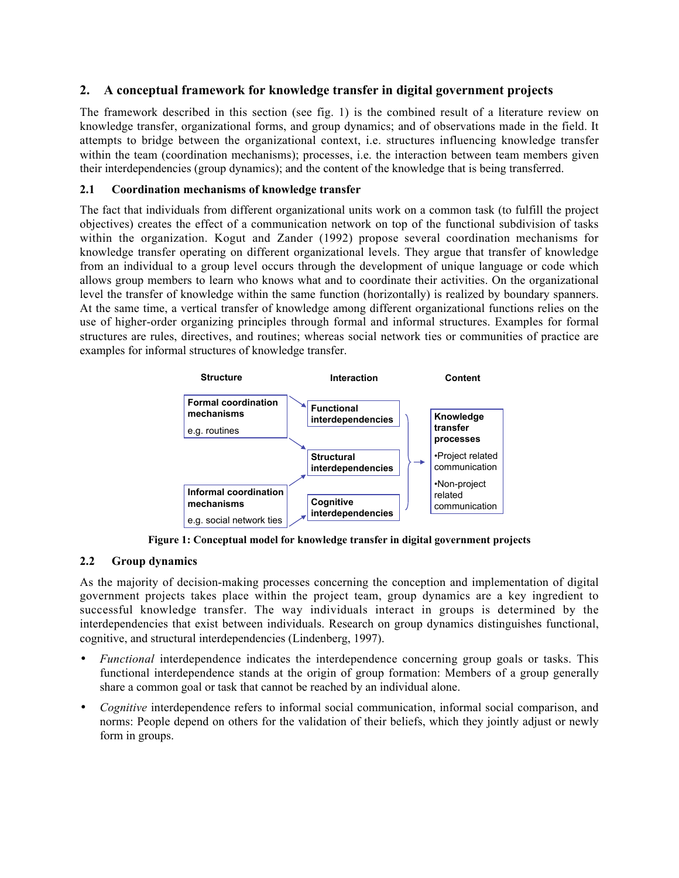## **2. A conceptual framework for knowledge transfer in digital government projects**

The framework described in this section (see fig. 1) is the combined result of a literature review on knowledge transfer, organizational forms, and group dynamics; and of observations made in the field. It attempts to bridge between the organizational context, i.e. structures influencing knowledge transfer within the team (coordination mechanisms); processes, i.e. the interaction between team members given their interdependencies (group dynamics); and the content of the knowledge that is being transferred.

#### **2.1 Coordination mechanisms of knowledge transfer**

The fact that individuals from different organizational units work on a common task (to fulfill the project objectives) creates the effect of a communication network on top of the functional subdivision of tasks within the organization. Kogut and Zander (1992) propose several coordination mechanisms for knowledge transfer operating on different organizational levels. They argue that transfer of knowledge from an individual to a group level occurs through the development of unique language or code which allows group members to learn who knows what and to coordinate their activities. On the organizational level the transfer of knowledge within the same function (horizontally) is realized by boundary spanners. At the same time, a vertical transfer of knowledge among different organizational functions relies on the use of higher-order organizing principles through formal and informal structures. Examples for formal structures are rules, directives, and routines; whereas social network ties or communities of practice are examples for informal structures of knowledge transfer.



**Figure 1: Conceptual model for knowledge transfer in digital government projects**

#### **2.2 Group dynamics**

As the majority of decision-making processes concerning the conception and implementation of digital government projects takes place within the project team, group dynamics are a key ingredient to successful knowledge transfer. The way individuals interact in groups is determined by the interdependencies that exist between individuals. Research on group dynamics distinguishes functional, cognitive, and structural interdependencies (Lindenberg, 1997).

- *Functional* interdependence indicates the interdependence concerning group goals or tasks. This functional interdependence stands at the origin of group formation: Members of a group generally share a common goal or task that cannot be reached by an individual alone.
- *Cognitive* interdependence refers to informal social communication, informal social comparison, and norms: People depend on others for the validation of their beliefs, which they jointly adjust or newly form in groups.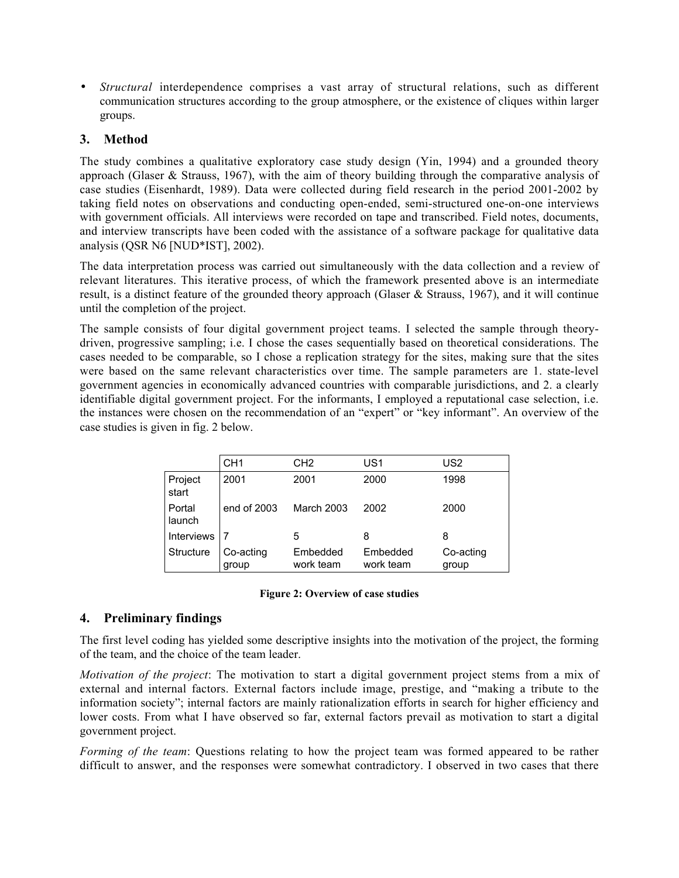• *Structural* interdependence comprises a vast array of structural relations, such as different communication structures according to the group atmosphere, or the existence of cliques within larger groups.

# **3. Method**

The study combines a qualitative exploratory case study design (Yin, 1994) and a grounded theory approach (Glaser & Strauss, 1967), with the aim of theory building through the comparative analysis of case studies (Eisenhardt, 1989). Data were collected during field research in the period 2001-2002 by taking field notes on observations and conducting open-ended, semi-structured one-on-one interviews with government officials. All interviews were recorded on tape and transcribed. Field notes, documents, and interview transcripts have been coded with the assistance of a software package for qualitative data analysis (QSR N6 [NUD\*IST], 2002).

The data interpretation process was carried out simultaneously with the data collection and a review of relevant literatures. This iterative process, of which the framework presented above is an intermediate result, is a distinct feature of the grounded theory approach (Glaser & Strauss, 1967), and it will continue until the completion of the project.

The sample consists of four digital government project teams. I selected the sample through theorydriven, progressive sampling; i.e. I chose the cases sequentially based on theoretical considerations. The cases needed to be comparable, so I chose a replication strategy for the sites, making sure that the sites were based on the same relevant characteristics over time. The sample parameters are 1. state-level government agencies in economically advanced countries with comparable jurisdictions, and 2. a clearly identifiable digital government project. For the informants, I employed a reputational case selection, i.e. the instances were chosen on the recommendation of an "expert" or "key informant". An overview of the case studies is given in fig. 2 below.

|                  | CH <sub>1</sub>    | CH <sub>2</sub>       | US1                   | US <sub>2</sub>    |
|------------------|--------------------|-----------------------|-----------------------|--------------------|
| Project<br>start | 2001               | 2001                  | 2000                  | 1998               |
| Portal<br>launch | end of 2003        | <b>March 2003</b>     | 2002                  | 2000               |
| Interviews       |                    | 5                     | 8                     | 8                  |
| Structure        | Co-acting<br>group | Embedded<br>work team | Embedded<br>work team | Co-acting<br>group |

#### **Figure 2: Overview of case studies**

## **4. Preliminary findings**

The first level coding has yielded some descriptive insights into the motivation of the project, the forming of the team, and the choice of the team leader.

*Motivation of the project*: The motivation to start a digital government project stems from a mix of external and internal factors. External factors include image, prestige, and "making a tribute to the information society"; internal factors are mainly rationalization efforts in search for higher efficiency and lower costs. From what I have observed so far, external factors prevail as motivation to start a digital government project.

*Forming of the team*: Questions relating to how the project team was formed appeared to be rather difficult to answer, and the responses were somewhat contradictory. I observed in two cases that there